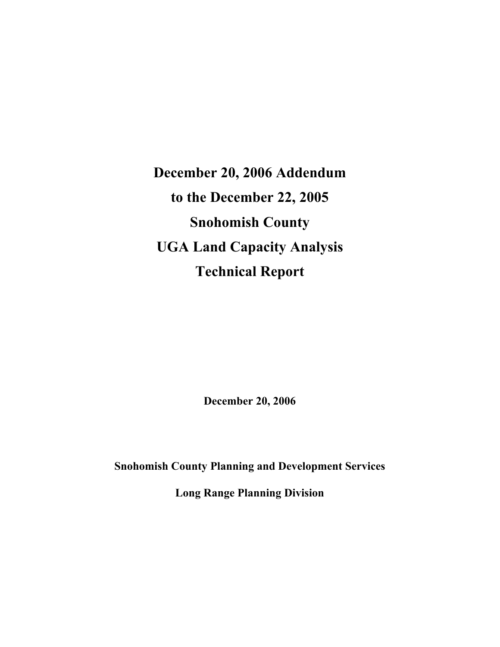**December 20, 2006 Addendum to the December 22, 2005 Snohomish County UGA Land Capacity Analysis Technical Report** 

**December 20, 2006** 

**Snohomish County Planning and Development Services** 

**Long Range Planning Division**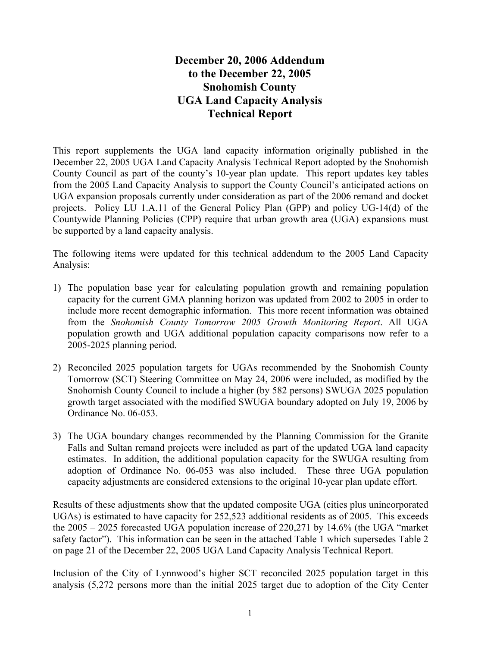# **December 20, 2006 Addendum to the December 22, 2005 Snohomish County UGA Land Capacity Analysis Technical Report**

This report supplements the UGA land capacity information originally published in the December 22, 2005 UGA Land Capacity Analysis Technical Report adopted by the Snohomish County Council as part of the county's 10-year plan update. This report updates key tables from the 2005 Land Capacity Analysis to support the County Council's anticipated actions on UGA expansion proposals currently under consideration as part of the 2006 remand and docket projects. Policy LU 1.A.11 of the General Policy Plan (GPP) and policy UG-14(d) of the Countywide Planning Policies (CPP) require that urban growth area (UGA) expansions must be supported by a land capacity analysis.

The following items were updated for this technical addendum to the 2005 Land Capacity Analysis:

- 1) The population base year for calculating population growth and remaining population capacity for the current GMA planning horizon was updated from 2002 to 2005 in order to include more recent demographic information. This more recent information was obtained from the *Snohomish County Tomorrow 2005 Growth Monitoring Report*. All UGA population growth and UGA additional population capacity comparisons now refer to a 2005-2025 planning period.
- 2) Reconciled 2025 population targets for UGAs recommended by the Snohomish County Tomorrow (SCT) Steering Committee on May 24, 2006 were included, as modified by the Snohomish County Council to include a higher (by 582 persons) SWUGA 2025 population growth target associated with the modified SWUGA boundary adopted on July 19, 2006 by Ordinance No. 06-053.
- 3) The UGA boundary changes recommended by the Planning Commission for the Granite Falls and Sultan remand projects were included as part of the updated UGA land capacity estimates. In addition, the additional population capacity for the SWUGA resulting from adoption of Ordinance No. 06-053 was also included. These three UGA population capacity adjustments are considered extensions to the original 10-year plan update effort.

Results of these adjustments show that the updated composite UGA (cities plus unincorporated UGAs) is estimated to have capacity for 252,523 additional residents as of 2005. This exceeds the 2005 – 2025 forecasted UGA population increase of 220,271 by 14.6% (the UGA "market safety factor"). This information can be seen in the attached Table 1 which supersedes Table 2 on page 21 of the December 22, 2005 UGA Land Capacity Analysis Technical Report.

Inclusion of the City of Lynnwood's higher SCT reconciled 2025 population target in this analysis (5,272 persons more than the initial 2025 target due to adoption of the City Center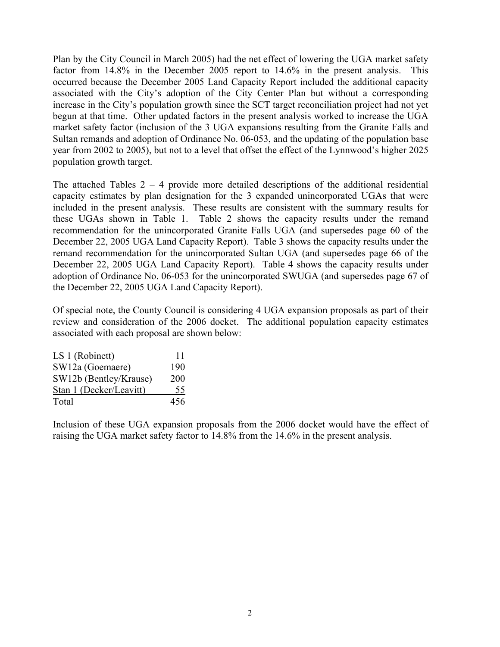Plan by the City Council in March 2005) had the net effect of lowering the UGA market safety factor from 14.8% in the December 2005 report to 14.6% in the present analysis. This occurred because the December 2005 Land Capacity Report included the additional capacity associated with the City's adoption of the City Center Plan but without a corresponding increase in the City's population growth since the SCT target reconciliation project had not yet begun at that time. Other updated factors in the present analysis worked to increase the UGA market safety factor (inclusion of the 3 UGA expansions resulting from the Granite Falls and Sultan remands and adoption of Ordinance No. 06-053, and the updating of the population base year from 2002 to 2005), but not to a level that offset the effect of the Lynnwood's higher 2025 population growth target.

The attached Tables  $2 - 4$  provide more detailed descriptions of the additional residential capacity estimates by plan designation for the 3 expanded unincorporated UGAs that were included in the present analysis. These results are consistent with the summary results for these UGAs shown in Table 1. Table 2 shows the capacity results under the remand recommendation for the unincorporated Granite Falls UGA (and supersedes page 60 of the December 22, 2005 UGA Land Capacity Report). Table 3 shows the capacity results under the remand recommendation for the unincorporated Sultan UGA (and supersedes page 66 of the December 22, 2005 UGA Land Capacity Report). Table 4 shows the capacity results under adoption of Ordinance No. 06-053 for the unincorporated SWUGA (and supersedes page 67 of the December 22, 2005 UGA Land Capacity Report).

Of special note, the County Council is considering 4 UGA expansion proposals as part of their review and consideration of the 2006 docket. The additional population capacity estimates associated with each proposal are shown below:

| LS 1 (Robinett)         | 11  |
|-------------------------|-----|
| SW12a (Goemaere)        | 190 |
| SW12b (Bentley/Krause)  | 200 |
| Stan 1 (Decker/Leavitt) | 55  |
| Total                   | 456 |

Inclusion of these UGA expansion proposals from the 2006 docket would have the effect of raising the UGA market safety factor to 14.8% from the 14.6% in the present analysis.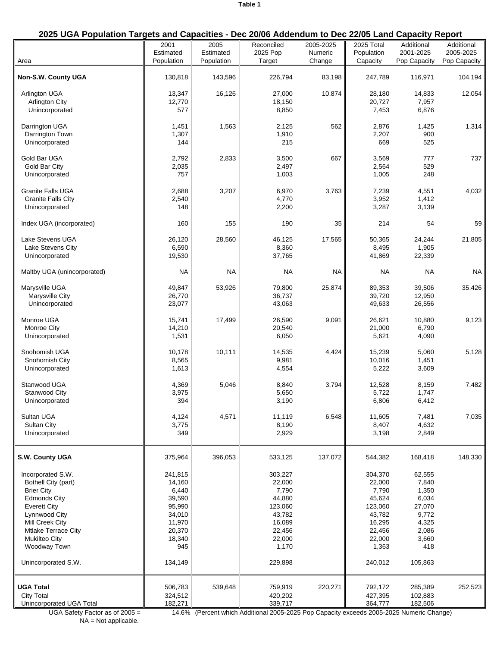## **2025 UGA Population Targets and Capacities - Dec 20/06 Addendum to Dec 22/05 Land Capacity Report**

| Area                                                                                                                                                                                                                                         | 2001<br>Estimated<br>Population                                                                          | 2005<br>Estimated<br>Population | Reconciled<br>2025 Pop<br>Target                                                                            | 2005-2025<br>Numeric<br>Change | 2025 Total<br>Population<br>Capacity                                                                        | Additional<br>2001-2025<br>Pop Capacity                                                           | Additional<br>2005-2025<br>Pop Capacity |
|----------------------------------------------------------------------------------------------------------------------------------------------------------------------------------------------------------------------------------------------|----------------------------------------------------------------------------------------------------------|---------------------------------|-------------------------------------------------------------------------------------------------------------|--------------------------------|-------------------------------------------------------------------------------------------------------------|---------------------------------------------------------------------------------------------------|-----------------------------------------|
| Non-S.W. County UGA                                                                                                                                                                                                                          | 130,818                                                                                                  | 143,596                         | 226,794                                                                                                     | 83,198                         | 247,789                                                                                                     | 116,971                                                                                           | 104,194                                 |
| <b>Arlington UGA</b><br><b>Arlington City</b><br>Unincorporated                                                                                                                                                                              | 13,347<br>12,770<br>577                                                                                  | 16,126                          | 27,000<br>18,150<br>8,850                                                                                   | 10,874                         | 28,180<br>20,727<br>7,453                                                                                   | 14,833<br>7,957<br>6,876                                                                          | 12,054                                  |
| Darrington UGA<br>Darrington Town<br>Unincorporated                                                                                                                                                                                          | 1,451<br>1,307<br>144                                                                                    | 1,563                           | 2,125<br>1,910<br>215                                                                                       | 562                            | 2,876<br>2,207<br>669                                                                                       | 1,425<br>900<br>525                                                                               | 1,314                                   |
| Gold Bar UGA<br>Gold Bar City<br>Unincorporated                                                                                                                                                                                              | 2,792<br>2,035<br>757                                                                                    | 2,833                           | 3,500<br>2,497<br>1,003                                                                                     | 667                            | 3,569<br>2,564<br>1,005                                                                                     | 777<br>529<br>248                                                                                 | 737                                     |
| <b>Granite Falls UGA</b><br><b>Granite Falls City</b><br>Unincorporated                                                                                                                                                                      | 2,688<br>2,540<br>148                                                                                    | 3,207                           | 6,970<br>4,770<br>2,200                                                                                     | 3,763                          | 7,239<br>3,952<br>3,287                                                                                     | 4,551<br>1,412<br>3,139                                                                           | 4,032                                   |
| Index UGA (incorporated)                                                                                                                                                                                                                     | 160                                                                                                      | 155                             | 190                                                                                                         | 35                             | 214                                                                                                         | 54                                                                                                | 59                                      |
| Lake Stevens UGA<br>Lake Stevens City<br>Unincorporated                                                                                                                                                                                      | 26,120<br>6,590<br>19,530                                                                                | 28,560                          | 46,125<br>8,360<br>37,765                                                                                   | 17,565                         | 50,365<br>8,495<br>41,869                                                                                   | 24,244<br>1,905<br>22,339                                                                         | 21,805                                  |
| Maltby UGA (unincorporated)                                                                                                                                                                                                                  | <b>NA</b>                                                                                                | <b>NA</b>                       | <b>NA</b>                                                                                                   | <b>NA</b>                      | <b>NA</b>                                                                                                   | <b>NA</b>                                                                                         | <b>NA</b>                               |
| Marysville UGA<br>Marysville City<br>Unincorporated                                                                                                                                                                                          | 49,847<br>26,770<br>23,077                                                                               | 53,926                          | 79,800<br>36,737<br>43,063                                                                                  | 25,874                         | 89,353<br>39,720<br>49,633                                                                                  | 39,506<br>12,950<br>26,556                                                                        | 35,426                                  |
| Monroe UGA<br><b>Monroe City</b><br>Unincorporated                                                                                                                                                                                           | 15,741<br>14,210<br>1,531                                                                                | 17,499                          | 26,590<br>20,540<br>6,050                                                                                   | 9,091                          | 26,621<br>21,000<br>5,621                                                                                   | 10,880<br>6,790<br>4,090                                                                          | 9,123                                   |
| Snohomish UGA<br>Snohomish City<br>Unincorporated                                                                                                                                                                                            | 10,178<br>8,565<br>1,613                                                                                 | 10,111                          | 14,535<br>9,981<br>4,554                                                                                    | 4,424                          | 15,239<br>10,016<br>5,222                                                                                   | 5,060<br>1,451<br>3,609                                                                           | 5,128                                   |
| Stanwood UGA<br>Stanwood City<br>Unincorporated                                                                                                                                                                                              | 4,369<br>3,975<br>394                                                                                    | 5,046                           | 8,840<br>5,650<br>3,190                                                                                     | 3,794                          | 12,528<br>5,722<br>6,806                                                                                    | 8,159<br>1,747<br>6,412                                                                           | 7,482                                   |
| Sultan UGA<br><b>Sultan City</b><br>Unincorporated                                                                                                                                                                                           | 4,124<br>3,775<br>349                                                                                    | 4,571                           | 11,119<br>8,190<br>2,929                                                                                    | 6,548                          | 11,605<br>8,407<br>3,198                                                                                    | 7,481<br>4,632<br>2,849                                                                           | 7,035                                   |
| S.W. County UGA                                                                                                                                                                                                                              | 375,964                                                                                                  | 396,053                         | 533,125                                                                                                     | 137,072                        | 544,382                                                                                                     | 168,418                                                                                           | 148,330                                 |
| Incorporated S.W.<br>Bothell City (part)<br><b>Brier City</b><br><b>Edmonds City</b><br><b>Everett City</b><br>Lynnwood City<br>Mill Creek City<br><b>Mtlake Terrace City</b><br><b>Mukilteo City</b><br>Woodway Town<br>Unincorporated S.W. | 241,815<br>14,160<br>6,440<br>39,590<br>95,990<br>34,010<br>11,970<br>20,370<br>18,340<br>945<br>134,149 |                                 | 303,227<br>22,000<br>7,790<br>44,880<br>123,060<br>43,782<br>16,089<br>22,456<br>22,000<br>1,170<br>229,898 |                                | 304,370<br>22,000<br>7,790<br>45,624<br>123,060<br>43,782<br>16,295<br>22,456<br>22,000<br>1,363<br>240,012 | 62,555<br>7,840<br>1,350<br>6,034<br>27,070<br>9,772<br>4,325<br>2,086<br>3,660<br>418<br>105,863 |                                         |
| <b>UGA Total</b><br><b>City Total</b><br>Unincorporated UGA Total                                                                                                                                                                            | 506,783<br>324,512<br>182,271                                                                            | 539,648                         | 759,919<br>420,202<br>339,717                                                                               | 220,271                        | 792,172<br>427,395<br>364,777                                                                               | 285,389<br>102,883<br>182,506                                                                     | 252,523                                 |

NA = Not applicable.

UGA Safety Factor as of 2005 = 14.6% (Percent which Additional 2005-2025 Pop Capacity exceeds 2005-2025 Numeric Change)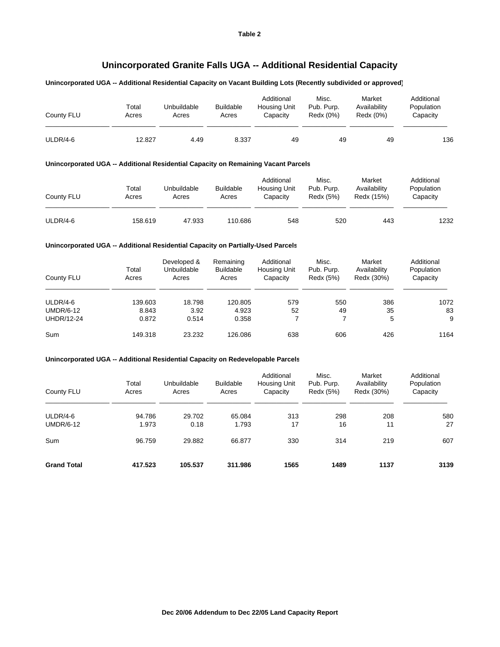# **Unincorporated Granite Falls UGA -- Additional Residential Capacity**

#### **Unincorporated UGA -- Additional Residential Capacity on Vacant Building Lots (Recently subdivided or approved)**

| County FLU | Total<br>Acres | Unbuildable<br>Acres | <b>Buildable</b><br>Acres | Additional<br>Housing Unit<br>Capacitv | Misc.<br>Pub. Purp.<br>Redx (0%) | Market<br>Availability<br>Redx (0%) | Additional<br>Population<br>Capacity |
|------------|----------------|----------------------|---------------------------|----------------------------------------|----------------------------------|-------------------------------------|--------------------------------------|
| ULDR/4-6   | 12.827         | 4.49                 | 8.337                     | 49                                     | 49                               | 49                                  | 136                                  |

#### **Unincorporated UGA -- Additional Residential Capacity on Remaining Vacant Parcels**

| County FLU | Total<br>Acres | Unbuildable<br>Acres | <b>Buildable</b><br>Acres | Additional<br>Housing Unit<br>Capacity | Misc.<br>Pub. Purp.<br>Redx (5%) | Market<br>Availability<br>Redx (15%) | Additional<br>Population<br>Capacity |
|------------|----------------|----------------------|---------------------------|----------------------------------------|----------------------------------|--------------------------------------|--------------------------------------|
| ULDR/4-6   | 158.619        | 47.933               | 110.686                   | 548                                    | 520                              | 443                                  | 1232                                 |

#### **Unincorporated UGA -- Additional Residential Capacity on Partially-Used Parcels**

| County FLU        | Total<br>Acres | Developed &<br>Unbuildable<br>Acres | Remaining<br><b>Buildable</b><br>Acres | Additional<br><b>Housing Unit</b><br>Capacity | Misc.<br>Pub. Purp.<br>Redx (5%) | Market<br>Availability<br>Redx (30%) | Additional<br>Population<br>Capacity |
|-------------------|----------------|-------------------------------------|----------------------------------------|-----------------------------------------------|----------------------------------|--------------------------------------|--------------------------------------|
| $ULDR/4-6$        | 139.603        | 18.798                              | 120.805                                | 579                                           | 550                              | 386                                  | 1072                                 |
| <b>UMDR/6-12</b>  | 8.843          | 3.92                                | 4.923                                  | 52                                            | 49                               | 35                                   | 83                                   |
| <b>UHDR/12-24</b> | 0.872          | 0.514                               | 0.358                                  |                                               | 7                                | 5                                    | 9                                    |
| Sum               | 149.318        | 23.232                              | 126.086                                | 638                                           | 606                              | 426                                  | 1164                                 |

### **Unincorporated UGA -- Additional Residential Capacity on Redevelopable Parcels**

| County FLU                     | Total<br>Acres  | Unbuildable<br>Acres | <b>Buildable</b><br>Acres | Additional<br>Housing Unit<br>Capacity | Misc.<br>Pub. Purp.<br>Redx (5%) | Market<br>Availability<br>Redx (30%) | Additional<br>Population<br>Capacity |
|--------------------------------|-----------------|----------------------|---------------------------|----------------------------------------|----------------------------------|--------------------------------------|--------------------------------------|
| $ULDR/4-6$<br><b>UMDR/6-12</b> | 94.786<br>1.973 | 29.702<br>0.18       | 65.084<br>1.793           | 313<br>17                              | 298<br>16                        | 208<br>11                            | 580<br>27                            |
| Sum                            | 96.759          | 29.882               | 66.877                    | 330                                    | 314                              | 219                                  | 607                                  |
| <b>Grand Total</b>             | 417.523         | 105.537              | 311.986                   | 1565                                   | 1489                             | 1137                                 | 3139                                 |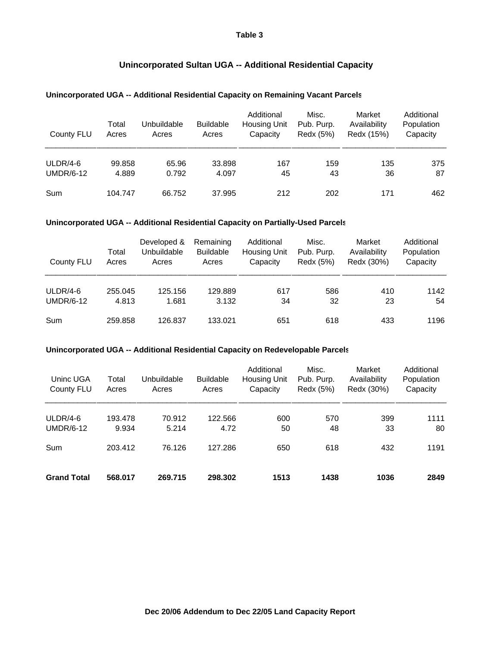### **Table 3**

## **Unincorporated Sultan UGA -- Additional Residential Capacity**

### **Unincorporated UGA -- Additional Residential Capacity on Remaining Vacant Parcels**

| County FLU                     | Total<br>Acres  | Unbuildable<br>Acres | <b>Buildable</b><br>Acres | Additional<br><b>Housing Unit</b><br>Capacity | Misc.<br>Pub. Purp.<br>Redx (5%) | Market<br>Availability<br>Redx (15%) | Additional<br>Population<br>Capacity |
|--------------------------------|-----------------|----------------------|---------------------------|-----------------------------------------------|----------------------------------|--------------------------------------|--------------------------------------|
| $ULDR/4-6$<br><b>UMDR/6-12</b> | 99.858<br>4.889 | 65.96<br>0.792       | 33.898<br>4.097           | 167<br>45                                     | 159<br>43                        | 135<br>36                            | 375<br>87                            |
| Sum                            | 104.747         | 66.752               | 37.995                    | 212                                           | 202                              | 171                                  | 462                                  |

### **Unincorporated UGA -- Additional Residential Capacity on Partially-Used Parcels**

| County FLU                     | Total<br>Acres   | Developed &<br>Unbuildable<br>Acres | Remaining<br><b>Buildable</b><br>Acres | Additional<br><b>Housing Unit</b><br>Capacity | Misc.<br>Pub. Purp.<br>Redx (5%) | Market<br>Availability<br>Redx (30%) | Additional<br>Population<br>Capacity |
|--------------------------------|------------------|-------------------------------------|----------------------------------------|-----------------------------------------------|----------------------------------|--------------------------------------|--------------------------------------|
| $ULDR/4-6$<br><b>UMDR/6-12</b> | 255.045<br>4.813 | 125.156<br>1.681                    | 129.889<br>3.132                       | 617<br>34                                     | 586<br>32                        | 410<br>23                            | 1142<br>54                           |
| Sum                            | 259.858          | 126.837                             | 133.021                                | 651                                           | 618                              | 433                                  | 1196                                 |

### **Unincorporated UGA -- Additional Residential Capacity on Redevelopable Parcels**

| Uninc UGA<br>County FLU        | Total<br>Acres   | Unbuildable<br>Acres | <b>Buildable</b><br>Acres | Additional<br><b>Housing Unit</b><br>Capacity | Misc.<br>Pub. Purp.<br>Redx (5%) | Market<br>Availability<br>Redx (30%) | Additional<br>Population<br>Capacity |
|--------------------------------|------------------|----------------------|---------------------------|-----------------------------------------------|----------------------------------|--------------------------------------|--------------------------------------|
| $ULDR/4-6$<br><b>UMDR/6-12</b> | 193.478<br>9.934 | 70.912<br>5.214      | 122.566<br>4.72           | 600<br>50                                     | 570<br>48                        | 399<br>33                            | 1111<br>80                           |
| Sum                            | 203.412          | 76.126               | 127.286                   | 650                                           | 618                              | 432                                  | 1191                                 |
| <b>Grand Total</b>             | 568.017          | 269.715              | 298.302                   | 1513                                          | 1438                             | 1036                                 | 2849                                 |